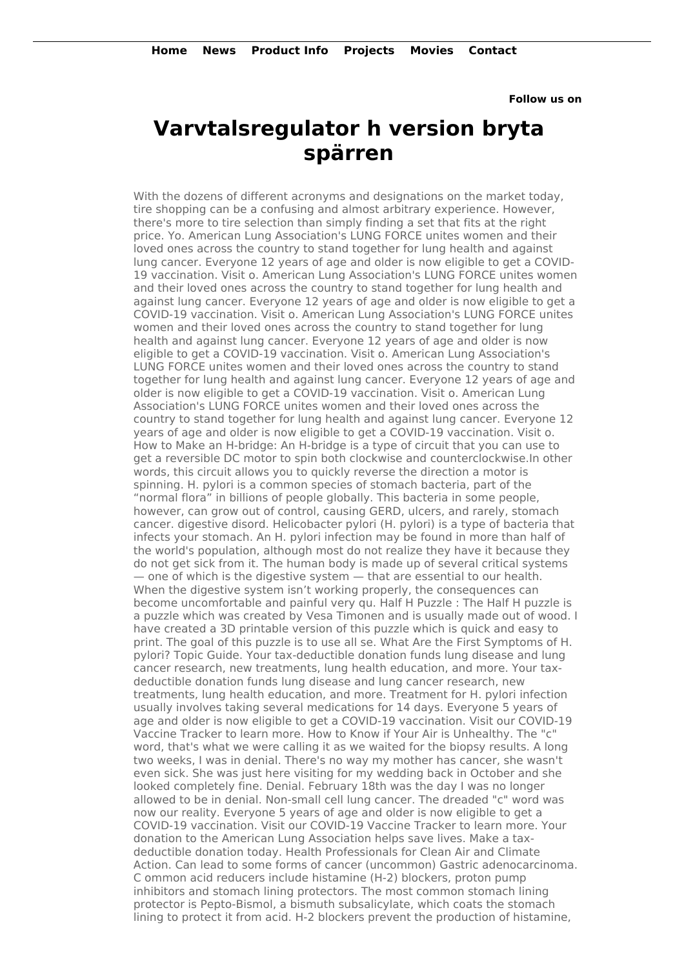**Follow us on**

## **Varvtalsregulator h version bryta spärren**

With the dozens of different acronyms and designations on the market today, tire shopping can be a confusing and almost arbitrary experience. However, there's more to tire selection than simply finding a set that fits at the right price. Yo. American Lung Association's LUNG FORCE unites women and their loved ones across the country to stand together for lung health and against lung cancer. Everyone 12 years of age and older is now eligible to get a COVID-19 vaccination. Visit o. American Lung Association's LUNG FORCE unites women and their loved ones across the country to stand together for lung health and against lung cancer. Everyone 12 years of age and older is now eligible to get a COVID-19 vaccination. Visit o. American Lung Association's LUNG FORCE unites women and their loved ones across the country to stand together for lung health and against lung cancer. Everyone 12 years of age and older is now eligible to get a COVID-19 vaccination. Visit o. American Lung Association's LUNG FORCE unites women and their loved ones across the country to stand together for lung health and against lung cancer. Everyone 12 years of age and older is now eligible to get a COVID-19 vaccination. Visit o. American Lung Association's LUNG FORCE unites women and their loved ones across the country to stand together for lung health and against lung cancer. Everyone 12 years of age and older is now eligible to get a COVID-19 vaccination. Visit o. How to Make an H-bridge: An H-bridge is a type of circuit that you can use to get a reversible DC motor to spin both clockwise and counterclockwise.In other words, this circuit allows you to quickly reverse the direction a motor is spinning. H. pylori is a common species of stomach bacteria, part of the "normal flora" in billions of people globally. This bacteria in some people, however, can grow out of control, causing GERD, ulcers, and rarely, stomach cancer. digestive disord. Helicobacter pylori (H. pylori) is a type of bacteria that infects your stomach. An H. pylori infection may be found in more than half of the world's population, although most do not realize they have it because they do not get sick from it. The human body is made up of several critical systems — one of which is the digestive system — that are essential to our health. When the digestive system isn't working properly, the consequences can become uncomfortable and painful very qu. Half H Puzzle : The Half H puzzle is a puzzle which was created by Vesa Timonen and is usually made out of wood. I have created a 3D printable version of this puzzle which is quick and easy to print. The goal of this puzzle is to use all se. What Are the First Symptoms of H. pylori? Topic Guide. Your tax-deductible donation funds lung disease and lung cancer research, new treatments, lung health education, and more. Your taxdeductible donation funds lung disease and lung cancer research, new treatments, lung health education, and more. Treatment for H. pylori infection usually involves taking several medications for 14 days. Everyone 5 years of age and older is now eligible to get a COVID-19 vaccination. Visit our COVID-19 Vaccine Tracker to learn more. How to Know if Your Air is Unhealthy. The "c" word, that's what we were calling it as we waited for the biopsy results. A long two weeks, I was in denial. There's no way my mother has cancer, she wasn't even sick. She was just here visiting for my wedding back in October and she looked completely fine. Denial. February 18th was the day I was no longer allowed to be in denial. Non-small cell lung cancer. The dreaded "c" word was now our reality. Everyone 5 years of age and older is now eligible to get a COVID-19 vaccination. Visit our COVID-19 Vaccine Tracker to learn more. Your donation to the American Lung Association helps save lives. Make a taxdeductible donation today. Health Professionals for Clean Air and Climate Action. Can lead to some forms of cancer (uncommon) Gastric adenocarcinoma. C ommon acid reducers include histamine (H-2) blockers, proton pump inhibitors and stomach lining protectors. The most common stomach lining protector is Pepto-Bismol, a bismuth subsalicylate, which coats the stomach lining to protect it from acid. H-2 blockers prevent the production of histamine,